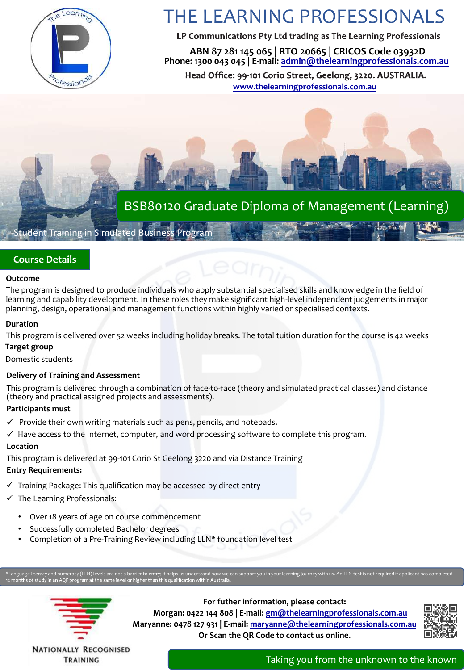

# THE LEARNING PROFESSIONALS

LP Communications Pty Ltd trading as The Learning Professionals

**ABN 87 281 145 065 | RTO 20665 | CRICOS Code 03932D Phone: 1300 043 045 | E-mail: admin@thelearningprofessionals.com.au**

Head Office: 99-101 Corio Street, Geelong, 3220. AUSTRALIA. **www.thelearningprofessionals.com.au**

# BSB80120 Graduate Diploma of Management (Learning)

# Student Training in Simulated Business Program

# **Course Details**

#### **Outcome**

The program is designed to produce individuals who apply substantial specialised skills and knowledge in the field of learning and capability development. In these roles they make significant high-level independent judgements in major planning, design, operational and management functions within highly varied or specialised contexts.

#### **Duration**

This program is delivered over 52 weeks including holiday breaks. The total tuition duration for the course is 42 weeks

### **Target group**

Domestic students

## **Delivery of Training and Assessment**

This program is delivered through a combination of face-to-face (theory and simulated practical classes) and distance (theory and practical assigned projects and assessments).

#### **Participants must**

- $\checkmark$  Provide their own writing materials such as pens, pencils, and notepads.
- $\checkmark$  Have access to the Internet, computer, and word processing software to complete this program.

## **Location**

This program is delivered at 99-101 Corio St Geelong 3220 and via Distance Training

# **Entry Requirements:**

- $\checkmark$  Training Package: This qualification may be accessed by direct entry
- $\checkmark$  The Learning Professionals:
	- Over 18 years of age on course commencement
	- Successfully completed Bachelor degrees
	- Completion of a Pre-Training Review including LLN\* foundation level test

ge literacy and numeracy (LLN) levels are not a barrier to entry; it helps us understand how we can support you in your learning journey with us. An LLN test is not required if applicant has completed<br>Is of study in an AQF



**For futher information, please contact: Morgan: 0422 144 808 | E-mail: gm@thelearningprofessionals.com.au Maryanne: 0478 127 931 | E-mail: maryanne@thelearningprofessionals.com.au Or Scan the QR Code to contact us online.**



**NATIONALLY RECOGNISED** TRAINING

Taking you from the unknown to the known